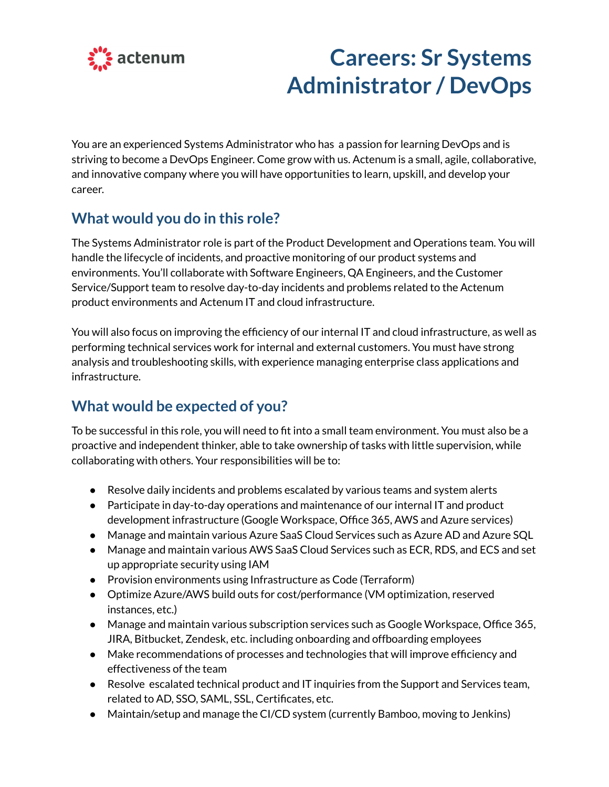

# **Careers: Sr Systems Administrator / DevOps**

You are an experienced Systems Administrator who has a passion for learning DevOps and is striving to become a DevOps Engineer. Come grow with us. Actenum is a small, agile, collaborative, and innovative company where you will have opportunities to learn, upskill, and develop your career.

## **What would you do in this role?**

The Systems Administrator role is part of the Product Development and Operations team. You will handle the lifecycle of incidents, and proactive monitoring of our product systems and environments. You'll collaborate with Software Engineers, QA Engineers, and the Customer Service/Support team to resolve day-to-day incidents and problems related to the Actenum product environments and Actenum IT and cloud infrastructure.

You will also focus on improving the efficiency of our internal IT and cloud infrastructure, as well as performing technical services work for internal and external customers. You must have strong analysis and troubleshooting skills, with experience managing enterprise class applications and infrastructure.

# **What would be expected of you?**

To be successful in this role, you will need to fit into a small team environment. You must also be a proactive and independent thinker, able to take ownership of tasks with little supervision, while collaborating with others. Your responsibilities will be to:

- Resolve daily incidents and problems escalated by various teams and system alerts
- Participate in day-to-day operations and maintenance of our internal IT and product development infrastructure (Google Workspace, Office 365, AWS and Azure services)
- Manage and maintain various Azure SaaS Cloud Services such as Azure AD and Azure SQL
- Manage and maintain various AWS SaaS Cloud Services such as ECR, RDS, and ECS and set up appropriate security using IAM
- Provision environments using Infrastructure as Code (Terraform)
- Optimize Azure/AWS build outs for cost/performance (VM optimization, reserved instances, etc.)
- Manage and maintain various subscription services such as Google Workspace, Office 365, JIRA, Bitbucket, Zendesk, etc. including onboarding and offboarding employees
- Make recommendations of processes and technologies that will improve efficiency and effectiveness of the team
- Resolve escalated technical product and IT inquiries from the Support and Services team, related to AD, SSO, SAML, SSL, Certificates, etc.
- Maintain/setup and manage the CI/CD system (currently Bamboo, moving to Jenkins)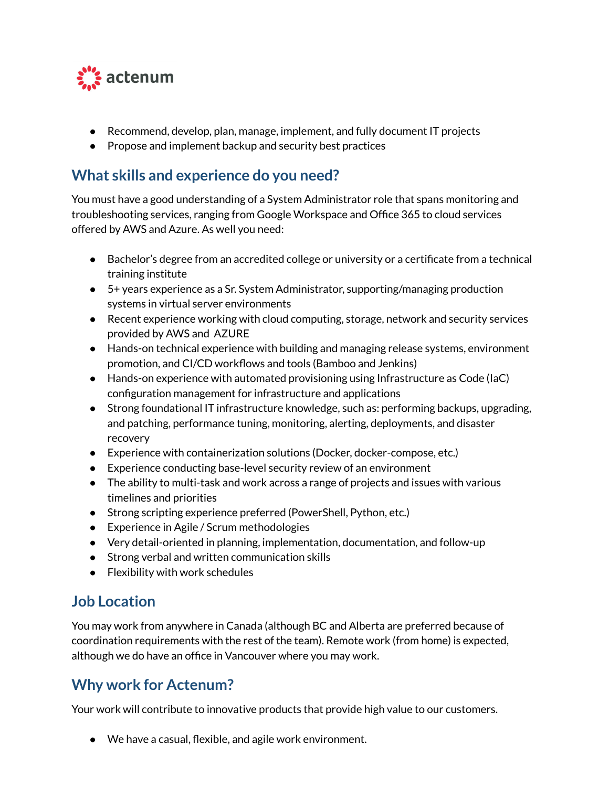

- Recommend, develop, plan, manage, implement, and fully document IT projects
- Propose and implement backup and security best practices

### **What skills and experience do you need?**

You must have a good understanding of a System Administrator role that spans monitoring and troubleshooting services, ranging from Google Workspace and Office 365 to cloud services offered by AWS and Azure. As well you need:

- Bachelor's degree from an accredited college or university or a certificate from a technical training institute
- 5+ years experience as a Sr. System Administrator, supporting/managing production systems in virtual server environments
- Recent experience working with cloud computing, storage, network and security services provided by AWS and AZURE
- Hands-on technical experience with building and managing release systems, environment promotion, and CI/CD workflows and tools (Bamboo and Jenkins)
- $\bullet$  Hands-on experience with automated provisioning using Infrastructure as Code (IaC) configuration management for infrastructure and applications
- Strong foundational IT infrastructure knowledge, such as: performing backups, upgrading, and patching, performance tuning, monitoring, alerting, deployments, and disaster recovery
- Experience with containerization solutions (Docker, docker-compose, etc.)
- Experience conducting base-level security review of an environment
- The ability to multi-task and work across a range of projects and issues with various timelines and priorities
- Strong scripting experience preferred (PowerShell, Python, etc.)
- Experience in Agile / Scrum methodologies
- Very detail-oriented in planning, implementation, documentation, and follow-up
- Strong verbal and written communication skills
- Flexibility with work schedules

#### **Job Location**

You may work from anywhere in Canada (although BC and Alberta are preferred because of coordination requirements with the rest of the team). Remote work (from home) is expected, although we do have an office in Vancouver where you may work.

## **Why work for Actenum?**

Your work will contribute to innovative products that provide high value to our customers.

● We have a casual, flexible, and agile work environment.